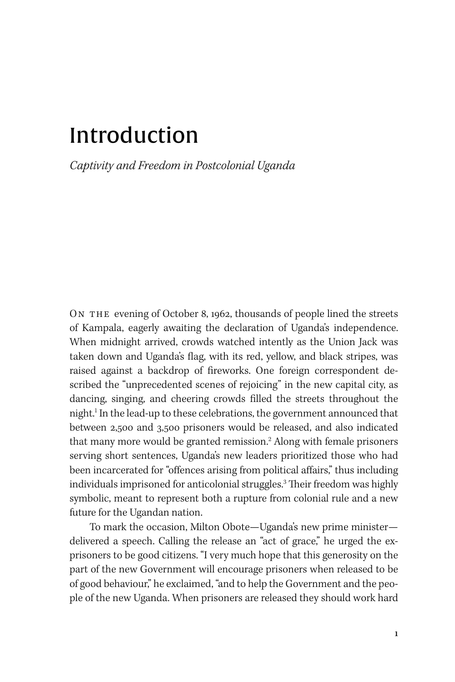# Introduction

*Captivity and Freedom in Postcolonial Uganda*

ON THE evening of October 8, 1962, thousands of people lined the streets of Kampala, eagerly awaiting the declaration of Uganda's independence. When midnight arrived, crowds watched intently as the Union Jack was taken down and Uganda's flag, with its red, yellow, and black stripes, was raised against a backdrop of fireworks. One foreign correspondent described the "unprecedented scenes of rejoicing" in the new capital city, as dancing, singing, and cheering crowds filled the streets throughout the night.1 In the lead-up to these celebrations, the government announced that between 2,500 and 3,500 prisoners would be released, and also indicated that many more would be granted remission.<sup>2</sup> Along with female prisoners serving short sentences, Uganda's new leaders prioritized those who had been incarcerated for "offences arising from political affairs," thus including individuals imprisoned for anticolonial struggles.3 Their freedom was highly symbolic, meant to represent both a rupture from colonial rule and a new future for the Ugandan nation.

To mark the occasion, Milton Obote—Uganda's new prime minister delivered a speech. Calling the release an "act of grace," he urged the exprisoners to be good citizens. "I very much hope that this generosity on the part of the new Government will encourage prisoners when released to be of good behaviour," he exclaimed, "and to help the Government and the people of the new Uganda. When prisoners are released they should work hard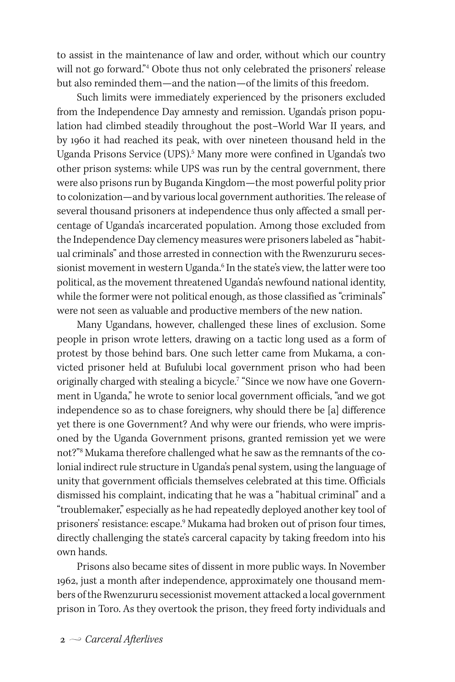to assist in the maintenance of law and order, without which our country will not go forward."4 Obote thus not only celebrated the prisoners' release but also reminded them—and the nation—of the limits of this freedom.

Such limits were immediately experienced by the prisoners excluded from the Independence Day amnesty and remission. Uganda's prison population had climbed steadily throughout the post–World War II years, and by 1960 it had reached its peak, with over nineteen thousand held in the Uganda Prisons Service (UPS).<sup>5</sup> Many more were confined in Uganda's two other prison systems: while UPS was run by the central government, there were also prisons run by Buganda Kingdom—the most powerful polity prior to colonization—and by various local government authorities. The release of several thousand prisoners at independence thus only affected a small percentage of Uganda's incarcerated population. Among those excluded from the Independence Day clemency measures were prisoners labeled as "habitual criminals" and those arrested in connection with the Rwenzururu secessionist movement in western Uganda.<sup>6</sup> In the state's view, the latter were too political, as the movement threatened Uganda's newfound national identity, while the former were not political enough, as those classified as "criminals" were not seen as valuable and productive members of the new nation.

Many Ugandans, however, challenged these lines of exclusion. Some people in prison wrote letters, drawing on a tactic long used as a form of protest by those behind bars. One such letter came from Mukama, a convicted prisoner held at Bufulubi local government prison who had been originally charged with stealing a bicycle.<sup>7</sup> "Since we now have one Government in Uganda," he wrote to senior local government officials, "and we got independence so as to chase foreigners, why should there be [a] difference yet there is one Government? And why were our friends, who were imprisoned by the Uganda Government prisons, granted remission yet we were not?"8 Mukama therefore challenged what he saw as the remnants of the colonial indirect rule structure in Uganda's penal system, using the language of unity that government officials themselves celebrated at this time. Officials dismissed his complaint, indicating that he was a "habitual criminal" and a "troublemaker," especially as he had repeatedly deployed another key tool of prisoners' resistance: escape.9 Mukama had broken out of prison four times, directly challenging the state's carceral capacity by taking freedom into his own hands.

Prisons also became sites of dissent in more public ways. In November 1962, just a month after independence, approximately one thousand members of the Rwenzururu secessionist movement attacked a local government prison in Toro. As they overtook the prison, they freed forty individuals and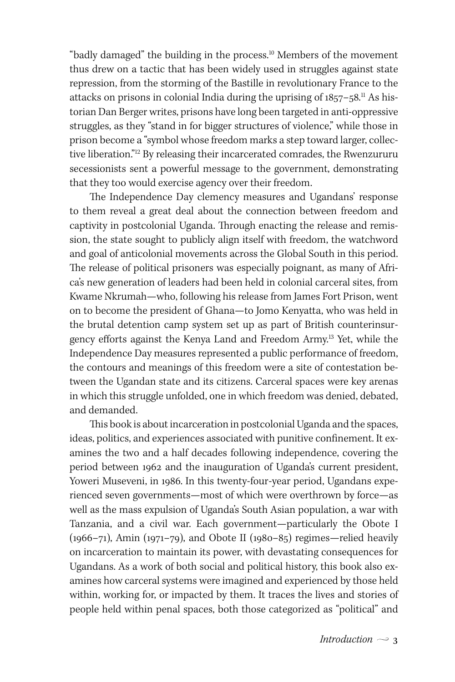"badly damaged" the building in the process.<sup>10</sup> Members of the movement thus drew on a tactic that has been widely used in struggles against state repression, from the storming of the Bastille in revolutionary France to the attacks on prisons in colonial India during the uprising of 1857–58. $^{\rm ll}$  As historian Dan Berger writes, prisons have long been targeted in anti-oppressive struggles, as they "stand in for bigger structures of violence," while those in prison become a "symbol whose freedom marks a step toward larger, collective liberation."<sup>12</sup> By releasing their incarcerated comrades, the Rwenzururu secessionists sent a powerful message to the government, demonstrating that they too would exercise agency over their freedom.

The Independence Day clemency measures and Ugandans' response to them reveal a great deal about the connection between freedom and captivity in postcolonial Uganda. Through enacting the release and remission, the state sought to publicly align itself with freedom, the watchword and goal of anticolonial movements across the Global South in this period. The release of political prisoners was especially poignant, as many of Africa's new generation of leaders had been held in colonial carceral sites, from Kwame Nkrumah—who, following his release from James Fort Prison, went on to become the president of Ghana—to Jomo Kenyatta, who was held in the brutal detention camp system set up as part of British counterinsurgency efforts against the Kenya Land and Freedom Army.13 Yet, while the Independence Day measures represented a public performance of freedom, the contours and meanings of this freedom were a site of contestation between the Ugandan state and its citizens. Carceral spaces were key arenas in which this struggle unfolded, one in which freedom was denied, debated, and demanded.

This book is about incarceration in postcolonial Uganda and the spaces, ideas, politics, and experiences associated with punitive confinement. It examines the two and a half decades following independence, covering the period between 1962 and the inauguration of Uganda's current president, Yoweri Museveni, in 1986. In this twenty-four-year period, Ugandans experienced seven governments—most of which were overthrown by force—as well as the mass expulsion of Uganda's South Asian population, a war with Tanzania, and a civil war. Each government—particularly the Obote I (1966–71), Amin (1971–79), and Obote II (1980–85) regimes—relied heavily on incarceration to maintain its power, with devastating consequences for Ugandans. As a work of both social and political history, this book also examines how carceral systems were imagined and experienced by those held within, working for, or impacted by them. It traces the lives and stories of people held within penal spaces, both those categorized as "political" and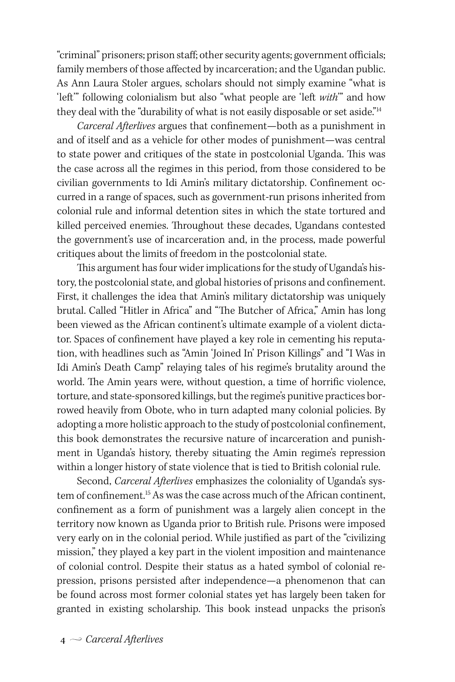"criminal" prisoners; prison staff; other security agents; government officials; family members of those affected by incarceration; and the Ugandan public. As Ann Laura Stoler argues, scholars should not simply examine "what is 'left'" following colonialism but also "what people are 'left *with*'" and how they deal with the "durability of what is not easily disposable or set aside."<sup>14</sup>

*Carceral Afterlives* argues that confinement—both as a punishment in and of itself and as a vehicle for other modes of punishment—was central to state power and critiques of the state in postcolonial Uganda. This was the case across all the regimes in this period, from those considered to be civilian governments to Idi Amin's military dictatorship. Confinement occurred in a range of spaces, such as government-run prisons inherited from colonial rule and informal detention sites in which the state tortured and killed perceived enemies. Throughout these decades, Ugandans contested the government's use of incarceration and, in the process, made powerful critiques about the limits of freedom in the postcolonial state.

This argument has four wider implications for the study of Uganda's history, the postcolonial state, and global histories of prisons and confinement. First, it challenges the idea that Amin's military dictatorship was uniquely brutal. Called "Hitler in Africa" and "The Butcher of Africa," Amin has long been viewed as the African continent's ultimate example of a violent dictator. Spaces of confinement have played a key role in cementing his reputation, with headlines such as "Amin 'Joined In' Prison Killings" and "I Was in Idi Amin's Death Camp" relaying tales of his regime's brutality around the world. The Amin years were, without question, a time of horrific violence, torture, and state-sponsored killings, but the regime's punitive practices borrowed heavily from Obote, who in turn adapted many colonial policies. By adopting a more holistic approach to the study of postcolonial confinement, this book demonstrates the recursive nature of incarceration and punishment in Uganda's history, thereby situating the Amin regime's repression within a longer history of state violence that is tied to British colonial rule.

Second, *Carceral Afterlives* emphasizes the coloniality of Uganda's system of confinement.<sup>15</sup> As was the case across much of the African continent, confinement as a form of punishment was a largely alien concept in the territory now known as Uganda prior to British rule. Prisons were imposed very early on in the colonial period. While justified as part of the "civilizing mission," they played a key part in the violent imposition and maintenance of colonial control. Despite their status as a hated symbol of colonial repression, prisons persisted after independence—a phenomenon that can be found across most former colonial states yet has largely been taken for granted in existing scholarship. This book instead unpacks the prison's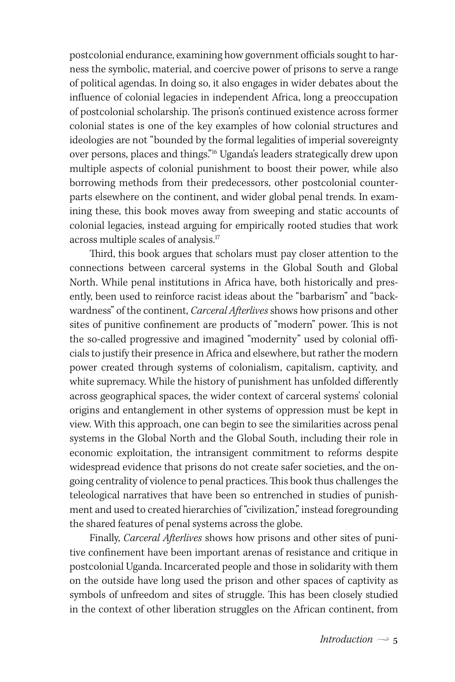postcolonial endurance, examining how government officials sought to harness the symbolic, material, and coercive power of prisons to serve a range of political agendas. In doing so, it also engages in wider debates about the influence of colonial legacies in independent Africa, long a preoccupation of postcolonial scholarship. The prison's continued existence across former colonial states is one of the key examples of how colonial structures and ideologies are not "bounded by the formal legalities of imperial sovereignty over persons, places and things."16 Uganda's leaders strategically drew upon multiple aspects of colonial punishment to boost their power, while also borrowing methods from their predecessors, other postcolonial counterparts elsewhere on the continent, and wider global penal trends. In examining these, this book moves away from sweeping and static accounts of colonial legacies, instead arguing for empirically rooted studies that work across multiple scales of analysis.17

Third, this book argues that scholars must pay closer attention to the connections between carceral systems in the Global South and Global North. While penal institutions in Africa have, both historically and presently, been used to reinforce racist ideas about the "barbarism" and "backwardness" of the continent, *Carceral Afterlives* shows how prisons and other sites of punitive confinement are products of "modern" power. This is not the so-called progressive and imagined "modernity" used by colonial officials to justify their presence in Africa and elsewhere, but rather the modern power created through systems of colonialism, capitalism, captivity, and white supremacy. While the history of punishment has unfolded differently across geographical spaces, the wider context of carceral systems' colonial origins and entanglement in other systems of oppression must be kept in view. With this approach, one can begin to see the similarities across penal systems in the Global North and the Global South, including their role in economic exploitation, the intransigent commitment to reforms despite widespread evidence that prisons do not create safer societies, and the ongoing centrality of violence to penal practices. This book thus challenges the teleological narratives that have been so entrenched in studies of punishment and used to created hierarchies of "civilization," instead foregrounding the shared features of penal systems across the globe.

Finally, *Carceral Afterlives* shows how prisons and other sites of punitive confinement have been important arenas of resistance and critique in postcolonial Uganda. Incarcerated people and those in solidarity with them on the outside have long used the prison and other spaces of captivity as symbols of unfreedom and sites of struggle. This has been closely studied in the context of other liberation struggles on the African continent, from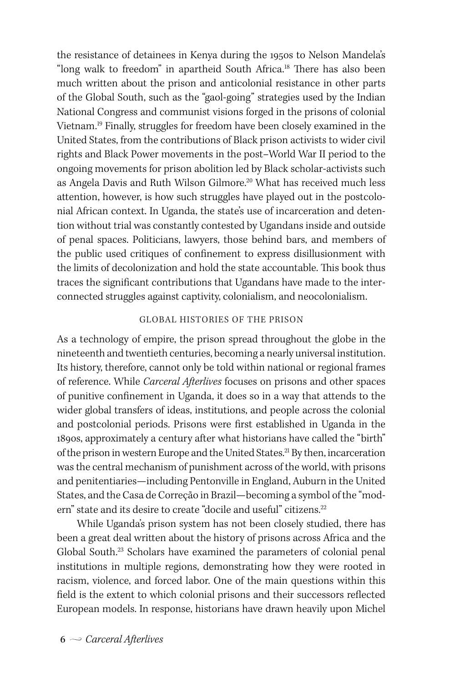the resistance of detainees in Kenya during the 1950s to Nelson Mandela's "long walk to freedom" in apartheid South Africa.<sup>18</sup> There has also been much written about the prison and anticolonial resistance in other parts of the Global South, such as the "gaol-going" strategies used by the Indian National Congress and communist visions forged in the prisons of colonial Vietnam.19 Finally, struggles for freedom have been closely examined in the United States, from the contributions of Black prison activists to wider civil rights and Black Power movements in the post–World War II period to the ongoing movements for prison abolition led by Black scholar-activists such as Angela Davis and Ruth Wilson Gilmore.<sup>20</sup> What has received much less attention, however, is how such struggles have played out in the postcolonial African context. In Uganda, the state's use of incarceration and detention without trial was constantly contested by Ugandans inside and outside of penal spaces. Politicians, lawyers, those behind bars, and members of the public used critiques of confinement to express disillusionment with the limits of decolonization and hold the state accountable. This book thus traces the significant contributions that Ugandans have made to the interconnected struggles against captivity, colonialism, and neocolonialism.

#### GLOBAL HISTORIES OF THE PRISON

As a technology of empire, the prison spread throughout the globe in the nineteenth and twentieth centuries, becoming a nearly universal institution. Its history, therefore, cannot only be told within national or regional frames of reference. While *Carceral Afterlives* focuses on prisons and other spaces of punitive confinement in Uganda, it does so in a way that attends to the wider global transfers of ideas, institutions, and people across the colonial and postcolonial periods. Prisons were first established in Uganda in the 1890s, approximately a century after what historians have called the "birth" of the prison in western Europe and the United States.<sup>21</sup> By then, incarceration was the central mechanism of punishment across of the world, with prisons and penitentiaries—including Pentonville in England, Auburn in the United States, and the Casa de Correção in Brazil—becoming a symbol of the "modern" state and its desire to create "docile and useful" citizens.<sup>22</sup>

While Uganda's prison system has not been closely studied, there has been a great deal written about the history of prisons across Africa and the Global South.23 Scholars have examined the parameters of colonial penal institutions in multiple regions, demonstrating how they were rooted in racism, violence, and forced labor. One of the main questions within this field is the extent to which colonial prisons and their successors reflected European models. In response, historians have drawn heavily upon Michel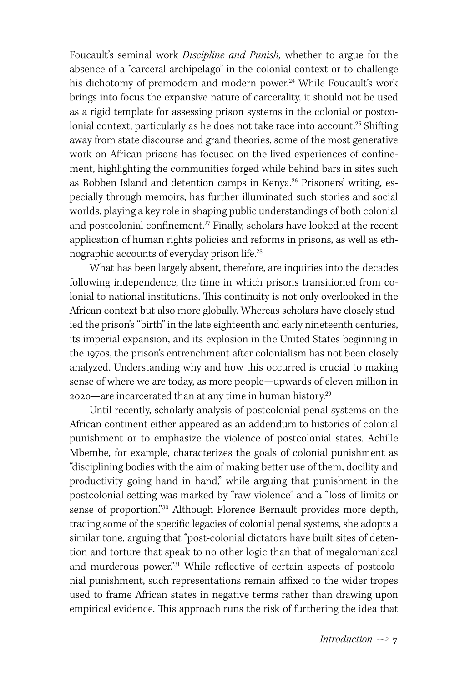Foucault's seminal work *Discipline and Punish,* whether to argue for the absence of a "carceral archipelago" in the colonial context or to challenge his dichotomy of premodern and modern power.<sup>24</sup> While Foucault's work brings into focus the expansive nature of carcerality, it should not be used as a rigid template for assessing prison systems in the colonial or postcolonial context, particularly as he does not take race into account.<sup>25</sup> Shifting away from state discourse and grand theories, some of the most generative work on African prisons has focused on the lived experiences of confinement, highlighting the communities forged while behind bars in sites such as Robben Island and detention camps in Kenya.<sup>26</sup> Prisoners' writing, especially through memoirs, has further illuminated such stories and social worlds, playing a key role in shaping public understandings of both colonial and postcolonial confinement.<sup>27</sup> Finally, scholars have looked at the recent application of human rights policies and reforms in prisons, as well as ethnographic accounts of everyday prison life.28

What has been largely absent, therefore, are inquiries into the decades following independence, the time in which prisons transitioned from colonial to national institutions. This continuity is not only overlooked in the African context but also more globally. Whereas scholars have closely studied the prison's "birth" in the late eighteenth and early nineteenth centuries, its imperial expansion, and its explosion in the United States beginning in the 1970s, the prison's entrenchment after colonialism has not been closely analyzed. Understanding why and how this occurred is crucial to making sense of where we are today, as more people—upwards of eleven million in 2020—are incarcerated than at any time in human history.29

Until recently, scholarly analysis of postcolonial penal systems on the African continent either appeared as an addendum to histories of colonial punishment or to emphasize the violence of postcolonial states. Achille Mbembe, for example, characterizes the goals of colonial punishment as "disciplining bodies with the aim of making better use of them, docility and productivity going hand in hand," while arguing that punishment in the postcolonial setting was marked by "raw violence" and a "loss of limits or sense of proportion."30 Although Florence Bernault provides more depth, tracing some of the specific legacies of colonial penal systems, she adopts a similar tone, arguing that "post-colonial dictators have built sites of detention and torture that speak to no other logic than that of megalomaniacal and murderous power."31 While reflective of certain aspects of postcolonial punishment, such representations remain affixed to the wider tropes used to frame African states in negative terms rather than drawing upon empirical evidence. This approach runs the risk of furthering the idea that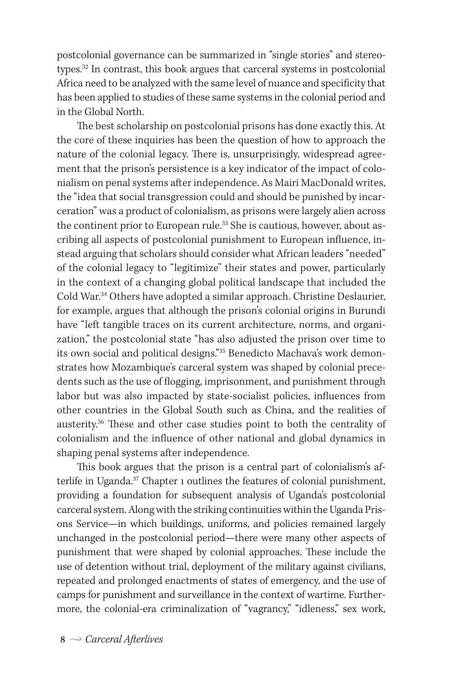postcolonial governance can be summarized in "single stories" and stereotypes.32 In contrast, this book argues that carceral systems in postcolonial Africa need to be analyzed with the same level of nuance and specificity that has been applied to studies of these same systems in the colonial period and in the Global North.

The best scholarship on postcolonial prisons has done exactly this. At the core of these inquiries has been the question of how to approach the nature of the colonial legacy. There is, unsurprisingly, widespread agreement that the prison's persistence is a key indicator of the impact of colonialism on penal systems after independence. As Mairi MacDonald writes, the "idea that social transgression could and should be punished by incarceration" was a product of colonialism, as prisons were largely alien across the continent prior to European rule.<sup>33</sup> She is cautious, however, about ascribing all aspects of postcolonial punishment to European influence, instead arguing that scholars should consider what African leaders "needed" of the colonial legacy to "legitimize" their states and power, particularly in the context of a changing global political landscape that included the Cold War.<sup>34</sup> Others have adopted a similar approach. Christine Deslaurier, for example, argues that although the prison's colonial origins in Burundi have "left tangible traces on its current architecture, norms, and organization," the postcolonial state "has also adjusted the prison over time to its own social and political designs."35 Benedicto Machava's work demonstrates how Mozambique's carceral system was shaped by colonial precedents such as the use of flogging, imprisonment, and punishment through labor but was also impacted by state-socialist policies, influences from other countries in the Global South such as China, and the realities of austerity.36 These and other case studies point to both the centrality of colonialism and the influence of other national and global dynamics in shaping penal systems after independence.

This book argues that the prison is a central part of colonialism's afterlife in Uganda.<sup>37</sup> Chapter 1 outlines the features of colonial punishment, providing a foundation for subsequent analysis of Uganda's postcolonial carceral system. Along with the striking continuities within the Uganda Prisons Service—in which buildings, uniforms, and policies remained largely unchanged in the postcolonial period—there were many other aspects of punishment that were shaped by colonial approaches. These include the use of detention without trial, deployment of the military against civilians, repeated and prolonged enactments of states of emergency, and the use of camps for punishment and surveillance in the context of wartime. Furthermore, the colonial-era criminalization of "vagrancy," "idleness," sex work,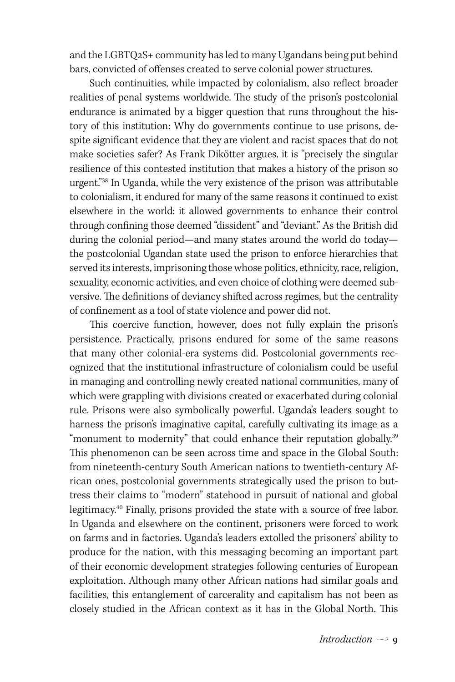and the LGBTQ2S+ community has led to many Ugandans being put behind bars, convicted of offenses created to serve colonial power structures.

Such continuities, while impacted by colonialism, also reflect broader realities of penal systems worldwide. The study of the prison's postcolonial endurance is animated by a bigger question that runs throughout the history of this institution: Why do governments continue to use prisons, despite significant evidence that they are violent and racist spaces that do not make societies safer? As Frank Dikötter argues, it is "precisely the singular resilience of this contested institution that makes a history of the prison so urgent."38 In Uganda, while the very existence of the prison was attributable to colonialism, it endured for many of the same reasons it continued to exist elsewhere in the world: it allowed governments to enhance their control through confining those deemed "dissident" and "deviant." As the British did during the colonial period—and many states around the world do today the postcolonial Ugandan state used the prison to enforce hierarchies that served its interests, imprisoning those whose politics, ethnicity, race, religion, sexuality, economic activities, and even choice of clothing were deemed subversive. The definitions of deviancy shifted across regimes, but the centrality of confinement as a tool of state violence and power did not.

This coercive function, however, does not fully explain the prison's persistence. Practically, prisons endured for some of the same reasons that many other colonial-era systems did. Postcolonial governments recognized that the institutional infrastructure of colonialism could be useful in managing and controlling newly created national communities, many of which were grappling with divisions created or exacerbated during colonial rule. Prisons were also symbolically powerful. Uganda's leaders sought to harness the prison's imaginative capital, carefully cultivating its image as a "monument to modernity" that could enhance their reputation globally.<sup>39</sup> This phenomenon can be seen across time and space in the Global South: from nineteenth-century South American nations to twentieth-century African ones, postcolonial governments strategically used the prison to buttress their claims to "modern" statehood in pursuit of national and global legitimacy.40 Finally, prisons provided the state with a source of free labor. In Uganda and elsewhere on the continent, prisoners were forced to work on farms and in factories. Uganda's leaders extolled the prisoners' ability to produce for the nation, with this messaging becoming an important part of their economic development strategies following centuries of European exploitation. Although many other African nations had similar goals and facilities, this entanglement of carcerality and capitalism has not been as closely studied in the African context as it has in the Global North. This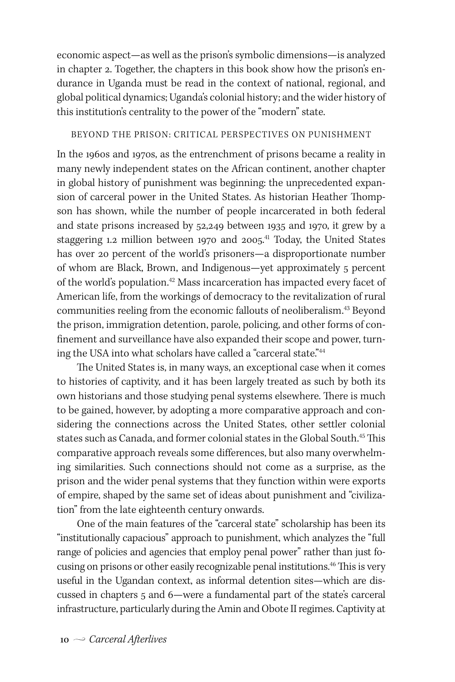economic aspect—as well as the prison's symbolic dimensions—is analyzed in chapter 2. Together, the chapters in this book show how the prison's endurance in Uganda must be read in the context of national, regional, and global political dynamics; Uganda's colonial history; and the wider history of this institution's centrality to the power of the "modern" state.

#### BEYOND THE PRISON: CRITICAL PERSPECTIVES ON PUNISHMENT

In the 1960s and 1970s, as the entrenchment of prisons became a reality in many newly independent states on the African continent, another chapter in global history of punishment was beginning: the unprecedented expansion of carceral power in the United States. As historian Heather Thompson has shown, while the number of people incarcerated in both federal and state prisons increased by 52,249 between 1935 and 1970, it grew by a staggering 1.2 million between 1970 and 2005.<sup>41</sup> Today, the United States has over 20 percent of the world's prisoners—a disproportionate number of whom are Black, Brown, and Indigenous—yet approximately 5 percent of the world's population.<sup>42</sup> Mass incarceration has impacted every facet of American life, from the workings of democracy to the revitalization of rural communities reeling from the economic fallouts of neoliberalism.43 Beyond the prison, immigration detention, parole, policing, and other forms of confinement and surveillance have also expanded their scope and power, turning the USA into what scholars have called a "carceral state."<sup>44</sup>

The United States is, in many ways, an exceptional case when it comes to histories of captivity, and it has been largely treated as such by both its own historians and those studying penal systems elsewhere. There is much to be gained, however, by adopting a more comparative approach and considering the connections across the United States, other settler colonial states such as Canada, and former colonial states in the Global South.<sup>45</sup> This comparative approach reveals some differences, but also many overwhelming similarities. Such connections should not come as a surprise, as the prison and the wider penal systems that they function within were exports of empire, shaped by the same set of ideas about punishment and "civilization" from the late eighteenth century onwards.

One of the main features of the "carceral state" scholarship has been its "institutionally capacious" approach to punishment, which analyzes the "full range of policies and agencies that employ penal power" rather than just focusing on prisons or other easily recognizable penal institutions.<sup>46</sup> This is very useful in the Ugandan context, as informal detention sites—which are discussed in chapters 5 and 6—were a fundamental part of the state's carceral infrastructure, particularly during the Amin and Obote II regimes. Captivity at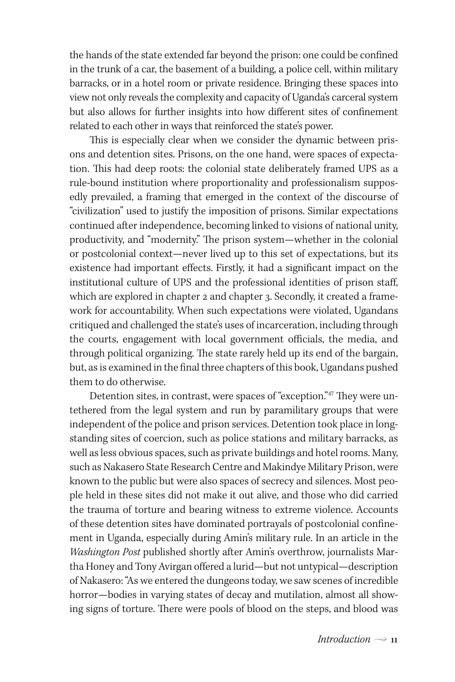the hands of the state extended far beyond the prison: one could be confined in the trunk of a car, the basement of a building, a police cell, within military barracks, or in a hotel room or private residence. Bringing these spaces into view not only reveals the complexity and capacity of Uganda's carceral system but also allows for further insights into how different sites of confinement related to each other in ways that reinforced the state's power.

This is especially clear when we consider the dynamic between prisons and detention sites. Prisons, on the one hand, were spaces of expectation. This had deep roots: the colonial state deliberately framed UPS as a rule-bound institution where proportionality and professionalism supposedly prevailed, a framing that emerged in the context of the discourse of "civilization" used to justify the imposition of prisons. Similar expectations continued after independence, becoming linked to visions of national unity, productivity, and "modernity." The prison system—whether in the colonial or postcolonial context—never lived up to this set of expectations, but its existence had important effects. Firstly, it had a significant impact on the institutional culture of UPS and the professional identities of prison staff, which are explored in chapter 2 and chapter 3. Secondly, it created a framework for accountability. When such expectations were violated, Ugandans critiqued and challenged the state's uses of incarceration, including through the courts, engagement with local government officials, the media, and through political organizing. The state rarely held up its end of the bargain, but, as is examined in the final three chapters of this book, Ugandans pushed them to do otherwise.

Detention sites, in contrast, were spaces of "exception."47 They were untethered from the legal system and run by paramilitary groups that were independent of the police and prison services. Detention took place in longstanding sites of coercion, such as police stations and military barracks, as well as less obvious spaces, such as private buildings and hotel rooms. Many, such as Nakasero State Research Centre and Makindye Military Prison, were known to the public but were also spaces of secrecy and silences. Most people held in these sites did not make it out alive, and those who did carried the trauma of torture and bearing witness to extreme violence. Accounts of these detention sites have dominated portrayals of postcolonial confinement in Uganda, especially during Amin's military rule. In an article in the *Washington Post* published shortly after Amin's overthrow, journalists Martha Honey and Tony Avirgan offered a lurid—but not untypical—description of Nakasero: "As we entered the dungeons today, we saw scenes of incredible horror—bodies in varying states of decay and mutilation, almost all showing signs of torture. There were pools of blood on the steps, and blood was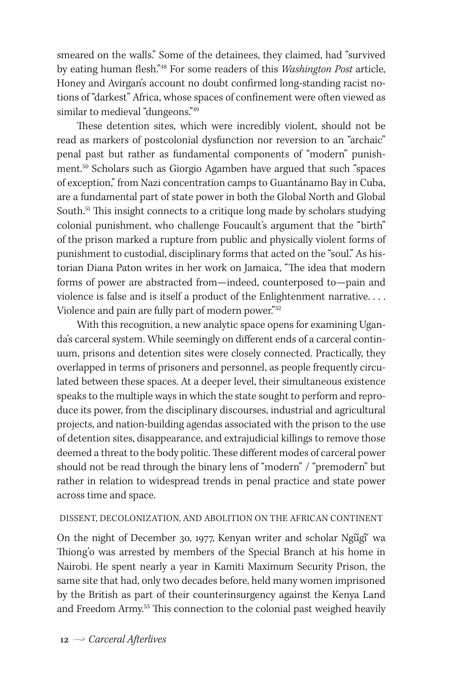smeared on the walls." Some of the detainees, they claimed, had "survived by eating human flesh."48 For some readers of this *Washington Post* article, Honey and Avirgan's account no doubt confirmed long-standing racist notions of "darkest" Africa, whose spaces of confinement were often viewed as similar to medieval "dungeons."<sup>49</sup>

These detention sites, which were incredibly violent, should not be read as markers of postcolonial dysfunction nor reversion to an "archaic" penal past but rather as fundamental components of "modern" punishment.50 Scholars such as Giorgio Agamben have argued that such "spaces of exception," from Nazi concentration camps to Guantánamo Bay in Cuba, are a fundamental part of state power in both the Global North and Global South.<sup>51</sup> This insight connects to a critique long made by scholars studying colonial punishment, who challenge Foucault's argument that the "birth" of the prison marked a rupture from public and physically violent forms of punishment to custodial, disciplinary forms that acted on the "soul." As historian Diana Paton writes in her work on Jamaica, "The idea that modern forms of power are abstracted from—indeed, counterposed to—pain and violence is false and is itself a product of the Enlightenment narrative. . . . Violence and pain are fully part of modern power."<sup>52</sup>

With this recognition, a new analytic space opens for examining Uganda's carceral system. While seemingly on different ends of a carceral continuum, prisons and detention sites were closely connected. Practically, they overlapped in terms of prisoners and personnel, as people frequently circulated between these spaces. At a deeper level, their simultaneous existence speaks to the multiple ways in which the state sought to perform and reproduce its power, from the disciplinary discourses, industrial and agricultural projects, and nation-building agendas associated with the prison to the use of detention sites, disappearance, and extrajudicial killings to remove those deemed a threat to the body politic. These different modes of carceral power should not be read through the binary lens of "modern" / "premodern" but rather in relation to widespread trends in penal practice and state power across time and space.

## DISSENT, DECOLONIZATION, AND ABOLITION ON THE AFRICAN CONTINENT

On the night of December 30, 1977, Kenyan writer and scholar Ngugi<sup>x</sup> wa Thiong'o was arrested by members of the Special Branch at his home in Nairobi. He spent nearly a year in Kamiti Maximum Security Prison, the same site that had, only two decades before, held many women imprisoned by the British as part of their counterinsurgency against the Kenya Land and Freedom Army.<sup>53</sup> This connection to the colonial past weighed heavily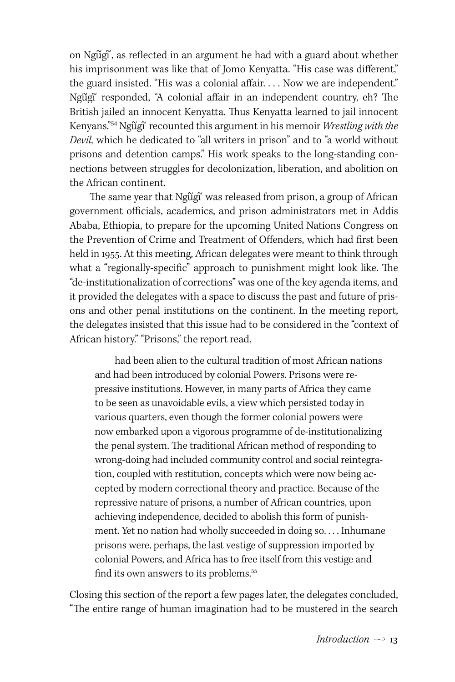on Ngugi, as reflected in an argument he had with a guard about whether his imprisonment was like that of Jomo Kenyatta. "His case was different," the guard insisted. "His was a colonial affair. . . . Now we are independent." Ngugi responded, "A colonial affair in an independent country, eh? The British jailed an innocent Kenyatta. Thus Kenyatta learned to jail innocent Kenyans.<sup>"54</sup> Ngugi<sup>"</sup> recounted this argument in his memoir *Wrestling with the Devil,* which he dedicated to "all writers in prison" and to "a world without prisons and detention camps." His work speaks to the long-standing connections between struggles for decolonization, liberation, and abolition on the African continent.

The same year that Ngũgĩ was released from prison, a group of African government officials, academics, and prison administrators met in Addis Ababa, Ethiopia, to prepare for the upcoming United Nations Congress on the Prevention of Crime and Treatment of Offenders, which had first been held in 1955. At this meeting, African delegates were meant to think through what a "regionally-specific" approach to punishment might look like. The "de-institutionalization of corrections" was one of the key agenda items, and it provided the delegates with a space to discuss the past and future of prisons and other penal institutions on the continent. In the meeting report, the delegates insisted that this issue had to be considered in the "context of African history." "Prisons," the report read,

had been alien to the cultural tradition of most African nations and had been introduced by colonial Powers. Prisons were repressive institutions. However, in many parts of Africa they came to be seen as unavoidable evils, a view which persisted today in various quarters, even though the former colonial powers were now embarked upon a vigorous programme of de-institutionalizing the penal system. The traditional African method of responding to wrong-doing had included community control and social reintegration, coupled with restitution, concepts which were now being accepted by modern correctional theory and practice. Because of the repressive nature of prisons, a number of African countries, upon achieving independence, decided to abolish this form of punishment. Yet no nation had wholly succeeded in doing so. . . . Inhumane prisons were, perhaps, the last vestige of suppression imported by colonial Powers, and Africa has to free itself from this vestige and find its own answers to its problems.<sup>55</sup>

Closing this section of the report a few pages later, the delegates concluded, "The entire range of human imagination had to be mustered in the search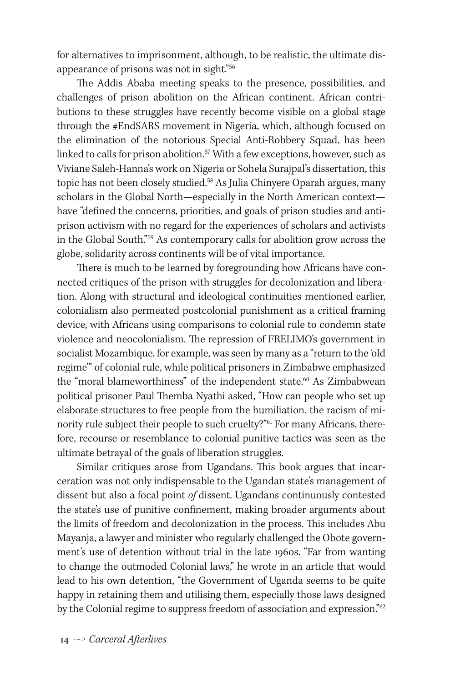for alternatives to imprisonment, although, to be realistic, the ultimate disappearance of prisons was not in sight."56

The Addis Ababa meeting speaks to the presence, possibilities, and challenges of prison abolition on the African continent. African contributions to these struggles have recently become visible on a global stage through the #EndSARS movement in Nigeria, which, although focused on the elimination of the notorious Special Anti-Robbery Squad, has been linked to calls for prison abolition. $57$  With a few exceptions, however, such as Viviane Saleh-Hanna's work on Nigeria or Sohela Surajpal's dissertation, this topic has not been closely studied.58 As Julia Chinyere Oparah argues, many scholars in the Global North—especially in the North American context have "defined the concerns, priorities, and goals of prison studies and antiprison activism with no regard for the experiences of scholars and activists in the Global South."59 As contemporary calls for abolition grow across the globe, solidarity across continents will be of vital importance.

There is much to be learned by foregrounding how Africans have connected critiques of the prison with struggles for decolonization and liberation. Along with structural and ideological continuities mentioned earlier, colonialism also permeated postcolonial punishment as a critical framing device, with Africans using comparisons to colonial rule to condemn state violence and neocolonialism. The repression of FRELIMO's government in socialist Mozambique, for example, was seen by many as a "return to the 'old regime'" of colonial rule, while political prisoners in Zimbabwe emphasized the "moral blameworthiness" of the independent state.<sup>60</sup> As Zimbabwean political prisoner Paul Themba Nyathi asked, "How can people who set up elaborate structures to free people from the humiliation, the racism of minority rule subject their people to such cruelty?"61 For many Africans, therefore, recourse or resemblance to colonial punitive tactics was seen as the ultimate betrayal of the goals of liberation struggles.

Similar critiques arose from Ugandans. This book argues that incarceration was not only indispensable to the Ugandan state's management of dissent but also a focal point *of* dissent. Ugandans continuously contested the state's use of punitive confinement, making broader arguments about the limits of freedom and decolonization in the process. This includes Abu Mayanja, a lawyer and minister who regularly challenged the Obote government's use of detention without trial in the late 1960s. "Far from wanting to change the outmoded Colonial laws," he wrote in an article that would lead to his own detention, "the Government of Uganda seems to be quite happy in retaining them and utilising them, especially those laws designed by the Colonial regime to suppress freedom of association and expression."<sup>62</sup>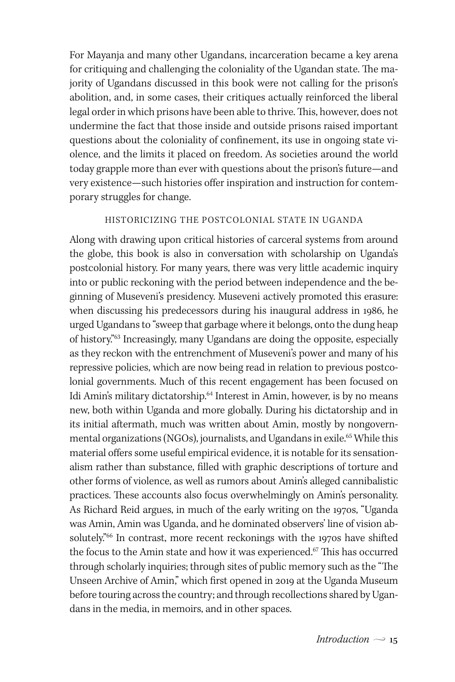For Mayanja and many other Ugandans, incarceration became a key arena for critiquing and challenging the coloniality of the Ugandan state. The majority of Ugandans discussed in this book were not calling for the prison's abolition, and, in some cases, their critiques actually reinforced the liberal legal order in which prisons have been able to thrive. This, however, does not undermine the fact that those inside and outside prisons raised important questions about the coloniality of confinement, its use in ongoing state violence, and the limits it placed on freedom. As societies around the world today grapple more than ever with questions about the prison's future—and very existence—such histories offer inspiration and instruction for contemporary struggles for change.

## HISTORICIZING THE POSTCOLONIAL STATE IN UGANDA

Along with drawing upon critical histories of carceral systems from around the globe, this book is also in conversation with scholarship on Uganda's postcolonial history. For many years, there was very little academic inquiry into or public reckoning with the period between independence and the beginning of Museveni's presidency. Museveni actively promoted this erasure: when discussing his predecessors during his inaugural address in 1986, he urged Ugandans to "sweep that garbage where it belongs, onto the dung heap of history."63 Increasingly, many Ugandans are doing the opposite, especially as they reckon with the entrenchment of Museveni's power and many of his repressive policies, which are now being read in relation to previous postcolonial governments. Much of this recent engagement has been focused on Idi Amin's military dictatorship.<sup>64</sup> Interest in Amin, however, is by no means new, both within Uganda and more globally. During his dictatorship and in its initial aftermath, much was written about Amin, mostly by nongovernmental organizations (NGOs), journalists, and Ugandans in exile.<sup>65</sup> While this material offers some useful empirical evidence, it is notable for its sensationalism rather than substance, filled with graphic descriptions of torture and other forms of violence, as well as rumors about Amin's alleged cannibalistic practices. These accounts also focus overwhelmingly on Amin's personality. As Richard Reid argues, in much of the early writing on the 1970s, "Uganda was Amin, Amin was Uganda, and he dominated observers' line of vision absolutely."66 In contrast, more recent reckonings with the 1970s have shifted the focus to the Amin state and how it was experienced.<sup>67</sup> This has occurred through scholarly inquiries; through sites of public memory such as the "The Unseen Archive of Amin," which first opened in 2019 at the Uganda Museum before touring across the country; and through recollections shared by Ugandans in the media, in memoirs, and in other spaces.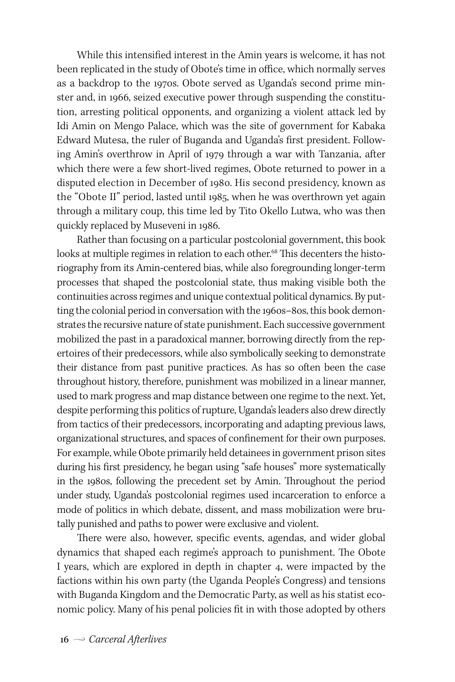While this intensified interest in the Amin years is welcome, it has not been replicated in the study of Obote's time in office, which normally serves as a backdrop to the 1970s. Obote served as Uganda's second prime minster and, in 1966, seized executive power through suspending the constitution, arresting political opponents, and organizing a violent attack led by Idi Amin on Mengo Palace, which was the site of government for Kabaka Edward Mutesa, the ruler of Buganda and Uganda's first president. Following Amin's overthrow in April of 1979 through a war with Tanzania, after which there were a few short-lived regimes, Obote returned to power in a disputed election in December of 1980. His second presidency, known as the "Obote II" period, lasted until 1985, when he was overthrown yet again through a military coup, this time led by Tito Okello Lutwa, who was then quickly replaced by Museveni in 1986.

Rather than focusing on a particular postcolonial government, this book looks at multiple regimes in relation to each other.<sup>68</sup> This decenters the historiography from its Amin-centered bias, while also foregrounding longer-term processes that shaped the postcolonial state, thus making visible both the continuities across regimes and unique contextual political dynamics. By putting the colonial period in conversation with the 1960s–80s, this book demonstrates the recursive nature of state punishment. Each successive government mobilized the past in a paradoxical manner, borrowing directly from the repertoires of their predecessors, while also symbolically seeking to demonstrate their distance from past punitive practices. As has so often been the case throughout history, therefore, punishment was mobilized in a linear manner, used to mark progress and map distance between one regime to the next. Yet, despite performing this politics of rupture, Uganda's leaders also drew directly from tactics of their predecessors, incorporating and adapting previous laws, organizational structures, and spaces of confinement for their own purposes. For example, while Obote primarily held detainees in government prison sites during his first presidency, he began using "safe houses" more systematically in the 1980s, following the precedent set by Amin. Throughout the period under study, Uganda's postcolonial regimes used incarceration to enforce a mode of politics in which debate, dissent, and mass mobilization were brutally punished and paths to power were exclusive and violent.

There were also, however, specific events, agendas, and wider global dynamics that shaped each regime's approach to punishment. The Obote I years, which are explored in depth in chapter 4, were impacted by the factions within his own party (the Uganda People's Congress) and tensions with Buganda Kingdom and the Democratic Party, as well as his statist economic policy. Many of his penal policies fit in with those adopted by others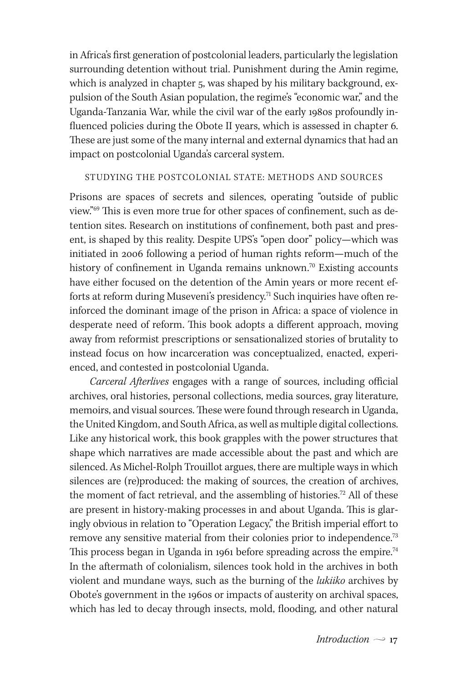in Africa's first generation of postcolonial leaders, particularly the legislation surrounding detention without trial. Punishment during the Amin regime, which is analyzed in chapter 5, was shaped by his military background, expulsion of the South Asian population, the regime's "economic war," and the Uganda-Tanzania War, while the civil war of the early 1980s profoundly influenced policies during the Obote II years, which is assessed in chapter 6. These are just some of the many internal and external dynamics that had an impact on postcolonial Uganda's carceral system.

### STUDYING THE POSTCOLONIAL STATE: METHODS AND SOURCES

Prisons are spaces of secrets and silences, operating "outside of public view."69 This is even more true for other spaces of confinement, such as detention sites. Research on institutions of confinement, both past and present, is shaped by this reality. Despite UPS's "open door" policy—which was initiated in 2006 following a period of human rights reform—much of the history of confinement in Uganda remains unknown.<sup>70</sup> Existing accounts have either focused on the detention of the Amin years or more recent efforts at reform during Museveni's presidency.<sup>71</sup> Such inquiries have often reinforced the dominant image of the prison in Africa: a space of violence in desperate need of reform. This book adopts a different approach, moving away from reformist prescriptions or sensationalized stories of brutality to instead focus on how incarceration was conceptualized, enacted, experienced, and contested in postcolonial Uganda.

*Carceral Afterlives* engages with a range of sources, including official archives, oral histories, personal collections, media sources, gray literature, memoirs, and visual sources. These were found through research in Uganda, the United Kingdom, and South Africa, as well as multiple digital collections. Like any historical work, this book grapples with the power structures that shape which narratives are made accessible about the past and which are silenced. As Michel-Rolph Trouillot argues, there are multiple ways in which silences are (re)produced: the making of sources, the creation of archives, the moment of fact retrieval, and the assembling of histories.<sup>72</sup> All of these are present in history-making processes in and about Uganda. This is glaringly obvious in relation to "Operation Legacy," the British imperial effort to remove any sensitive material from their colonies prior to independence.<sup>73</sup> This process began in Uganda in 1961 before spreading across the empire.<sup>74</sup> In the aftermath of colonialism, silences took hold in the archives in both violent and mundane ways, such as the burning of the *lukiiko* archives by Obote's government in the 1960s or impacts of austerity on archival spaces, which has led to decay through insects, mold, flooding, and other natural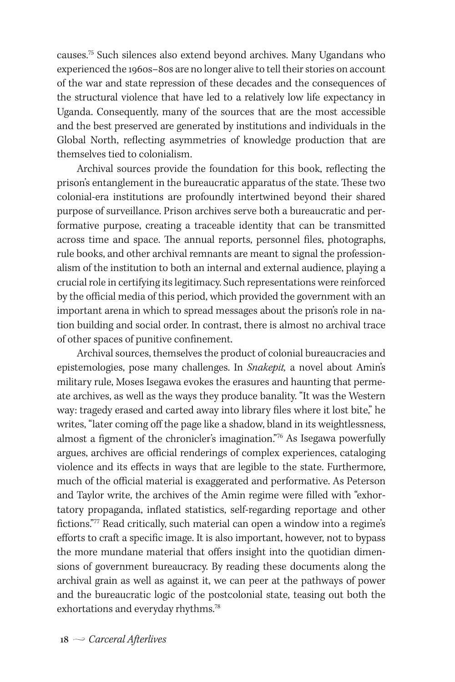causes.75 Such silences also extend beyond archives. Many Ugandans who experienced the 1960s–80s are no longer alive to tell their stories on account of the war and state repression of these decades and the consequences of the structural violence that have led to a relatively low life expectancy in Uganda. Consequently, many of the sources that are the most accessible and the best preserved are generated by institutions and individuals in the Global North, reflecting asymmetries of knowledge production that are themselves tied to colonialism.

Archival sources provide the foundation for this book, reflecting the prison's entanglement in the bureaucratic apparatus of the state. These two colonial-era institutions are profoundly intertwined beyond their shared purpose of surveillance. Prison archives serve both a bureaucratic and performative purpose, creating a traceable identity that can be transmitted across time and space. The annual reports, personnel files, photographs, rule books, and other archival remnants are meant to signal the professionalism of the institution to both an internal and external audience, playing a crucial role in certifying its legitimacy. Such representations were reinforced by the official media of this period, which provided the government with an important arena in which to spread messages about the prison's role in nation building and social order. In contrast, there is almost no archival trace of other spaces of punitive confinement.

Archival sources, themselves the product of colonial bureaucracies and epistemologies, pose many challenges. In *Snakepit,* a novel about Amin's military rule, Moses Isegawa evokes the erasures and haunting that permeate archives, as well as the ways they produce banality. "It was the Western way: tragedy erased and carted away into library files where it lost bite," he writes, "later coming off the page like a shadow, bland in its weightlessness, almost a figment of the chronicler's imagination."76 As Isegawa powerfully argues, archives are official renderings of complex experiences, cataloging violence and its effects in ways that are legible to the state. Furthermore, much of the official material is exaggerated and performative. As Peterson and Taylor write, the archives of the Amin regime were filled with "exhortatory propaganda, inflated statistics, self-regarding reportage and other fictions."<sup>77</sup> Read critically, such material can open a window into a regime's efforts to craft a specific image. It is also important, however, not to bypass the more mundane material that offers insight into the quotidian dimensions of government bureaucracy. By reading these documents along the archival grain as well as against it, we can peer at the pathways of power and the bureaucratic logic of the postcolonial state, teasing out both the exhortations and everyday rhythms.<sup>78</sup>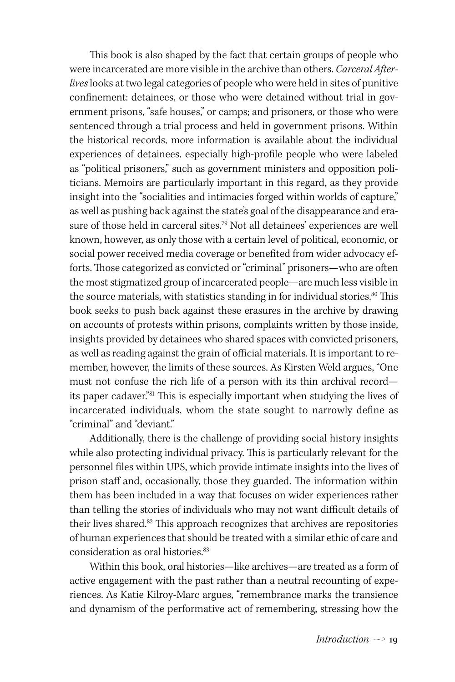This book is also shaped by the fact that certain groups of people who were incarcerated are more visible in the archive than others. *Carceral Afterlives* looks at two legal categories of people who were held in sites of punitive confinement: detainees, or those who were detained without trial in government prisons, "safe houses," or camps; and prisoners, or those who were sentenced through a trial process and held in government prisons. Within the historical records, more information is available about the individual experiences of detainees, especially high-profile people who were labeled as "political prisoners," such as government ministers and opposition politicians. Memoirs are particularly important in this regard, as they provide insight into the "socialities and intimacies forged within worlds of capture," as well as pushing back against the state's goal of the disappearance and erasure of those held in carceral sites.<sup>79</sup> Not all detainees' experiences are well known, however, as only those with a certain level of political, economic, or social power received media coverage or benefited from wider advocacy efforts. Those categorized as convicted or "criminal" prisoners—who are often the most stigmatized group of incarcerated people—are much less visible in the source materials, with statistics standing in for individual stories.<sup>80</sup> This book seeks to push back against these erasures in the archive by drawing on accounts of protests within prisons, complaints written by those inside, insights provided by detainees who shared spaces with convicted prisoners, as well as reading against the grain of official materials. It is important to remember, however, the limits of these sources. As Kirsten Weld argues, "One must not confuse the rich life of a person with its thin archival record its paper cadaver."81 This is especially important when studying the lives of incarcerated individuals, whom the state sought to narrowly define as "criminal" and "deviant."

Additionally, there is the challenge of providing social history insights while also protecting individual privacy. This is particularly relevant for the personnel files within UPS, which provide intimate insights into the lives of prison staff and, occasionally, those they guarded. The information within them has been included in a way that focuses on wider experiences rather than telling the stories of individuals who may not want difficult details of their lives shared.<sup>82</sup> This approach recognizes that archives are repositories of human experiences that should be treated with a similar ethic of care and consideration as oral histories.<sup>83</sup>

Within this book, oral histories—like archives—are treated as a form of active engagement with the past rather than a neutral recounting of experiences. As Katie Kilroy-Marc argues, "remembrance marks the transience and dynamism of the performative act of remembering, stressing how the